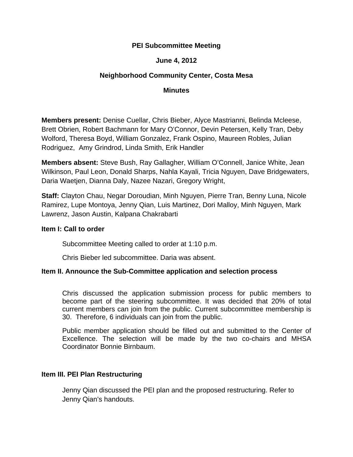# **PEI Subcommittee Meeting**

# **June 4, 2012**

# **Neighborhood Community Center, Costa Mesa**

#### **Minutes**

**Members present:** Denise Cuellar, Chris Bieber, Alyce Mastrianni, Belinda Mcleese, Brett Obrien, Robert Bachmann for Mary O'Connor, Devin Petersen, Kelly Tran, Deby Wolford, Theresa Boyd, William Gonzalez, Frank Ospino, Maureen Robles, Julian Rodriguez, Amy Grindrod, Linda Smith, Erik Handler

**Members absent:** Steve Bush, Ray Gallagher, William O'Connell, Janice White, Jean Wilkinson, Paul Leon, Donald Sharps, Nahla Kayali, Tricia Nguyen, Dave Bridgewaters, Daria Waetjen, Dianna Daly, Nazee Nazari, Gregory Wright,

**Staff:** Clayton Chau, Negar Doroudian, Minh Nguyen, Pierre Tran, Benny Luna, Nicole Ramirez, Lupe Montoya, Jenny Qian, Luis Martinez, Dori Malloy, Minh Nguyen, Mark Lawrenz, Jason Austin, Kalpana Chakrabarti

#### **Item I: Call to order**

Subcommittee Meeting called to order at 1:10 p.m.

Chris Bieber led subcommittee. Daria was absent.

### **Item II. Announce the Sub-Committee application and selection process**

Chris discussed the application submission process for public members to become part of the steering subcommittee. It was decided that 20% of total current members can join from the public. Current subcommittee membership is 30. Therefore, 6 individuals can join from the public.

Public member application should be filled out and submitted to the Center of Excellence. The selection will be made by the two co-chairs and MHSA Coordinator Bonnie Birnbaum.

#### **Item III. PEI Plan Restructuring**

Jenny Qian discussed the PEI plan and the proposed restructuring. Refer to Jenny Qian's handouts.